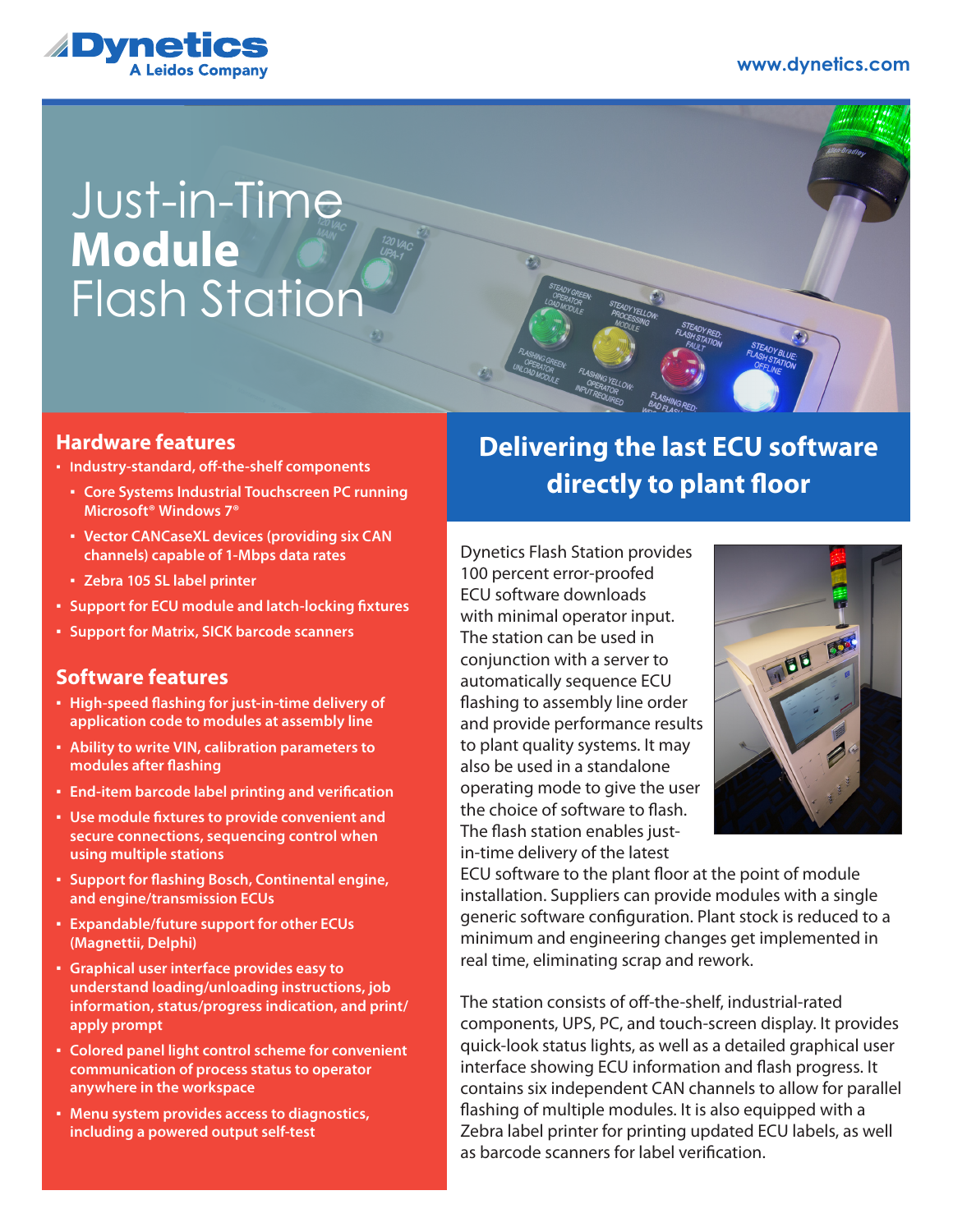

## Just-in-Time Flash Station **Module**

### **Hardware features**

- **Industry-standard, off-the-shelf components**
	- **Core Systems Industrial Touchscreen PC running Microsoft® Windows 7®**
	- **Vector CANCaseXL devices (providing six CAN channels) capable of 1-Mbps data rates**
	- **Zebra 105 SL label printer**
- **Support for ECU module and latch-locking fixtures**
- **Support for Matrix, SICK barcode scanners**

## **Software features**

- **High-speed flashing for just-in-time delivery of application code to modules at assembly line**
- **Ability to write VIN, calibration parameters to modules after flashing**
- **End-item barcode label printing and verification**
- **Use module fixtures to provide convenient and secure connections, sequencing control when using multiple stations**
- **Support for flashing Bosch, Continental engine, and engine/transmission ECUs**
- **Expandable/future support for other ECUs (Magnettii, Delphi)**
- **Graphical user interface provides easy to understand loading/unloading instructions, job information, status/progress indication, and print/ apply prompt**
- **Colored panel light control scheme for convenient communication of process status to operator anywhere in the workspace**
- **Menu system provides access to diagnostics, including a powered output self-test**

## **Delivering the last ECU software directly to plant floor**

Dynetics Flash Station provides 100 percent error-proofed ECU software downloads with minimal operator input. The station can be used in conjunction with a server to automatically sequence ECU flashing to assembly line order and provide performance results to plant quality systems. It may also be used in a standalone operating mode to give the user the choice of software to flash. The flash station enables justin-time delivery of the latest



ECU software to the plant floor at the point of module installation. Suppliers can provide modules with a single generic software configuration. Plant stock is reduced to a minimum and engineering changes get implemented in real time, eliminating scrap and rework.

The station consists of off-the-shelf, industrial-rated components, UPS, PC, and touch-screen display. It provides quick-look status lights, as well as a detailed graphical user interface showing ECU information and flash progress. It contains six independent CAN channels to allow for parallel flashing of multiple modules. It is also equipped with a Zebra label printer for printing updated ECU labels, as well as barcode scanners for label verification.